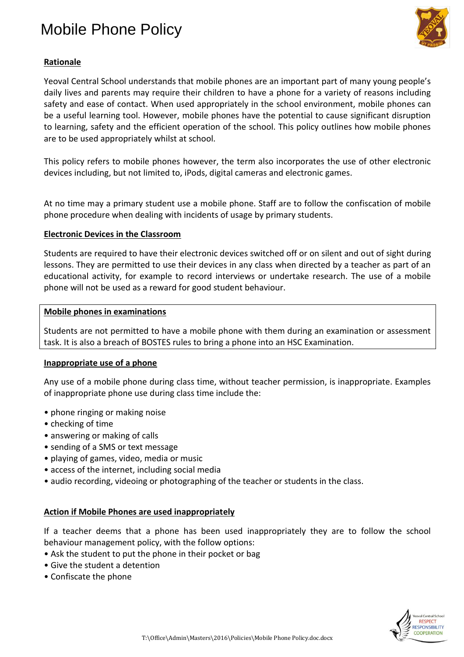# Mobile Phone Policy



## **Rationale**

Yeoval Central School understands that mobile phones are an important part of many young people's daily lives and parents may require their children to have a phone for a variety of reasons including safety and ease of contact. When used appropriately in the school environment, mobile phones can be a useful learning tool. However, mobile phones have the potential to cause significant disruption to learning, safety and the efficient operation of the school. This policy outlines how mobile phones are to be used appropriately whilst at school.

This policy refers to mobile phones however, the term also incorporates the use of other electronic devices including, but not limited to, iPods, digital cameras and electronic games.

At no time may a primary student use a mobile phone. Staff are to follow the confiscation of mobile phone procedure when dealing with incidents of usage by primary students.

#### **Electronic Devices in the Classroom**

Students are required to have their electronic devices switched off or on silent and out of sight during lessons. They are permitted to use their devices in any class when directed by a teacher as part of an educational activity, for example to record interviews or undertake research. The use of a mobile phone will not be used as a reward for good student behaviour.

#### **Mobile phones in examinations**

Students are not permitted to have a mobile phone with them during an examination or assessment task. It is also a breach of BOSTES rules to bring a phone into an HSC Examination.

#### **Inappropriate use of a phone**

Any use of a mobile phone during class time, without teacher permission, is inappropriate. Examples of inappropriate phone use during class time include the:

- phone ringing or making noise
- checking of time
- answering or making of calls
- sending of a SMS or text message
- playing of games, video, media or music
- access of the internet, including social media
- audio recording, videoing or photographing of the teacher or students in the class.

#### **Action if Mobile Phones are used inappropriately**

If a teacher deems that a phone has been used inappropriately they are to follow the school behaviour management policy, with the follow options:

- Ask the student to put the phone in their pocket or bag
- Give the student a detention
- Confiscate the phone